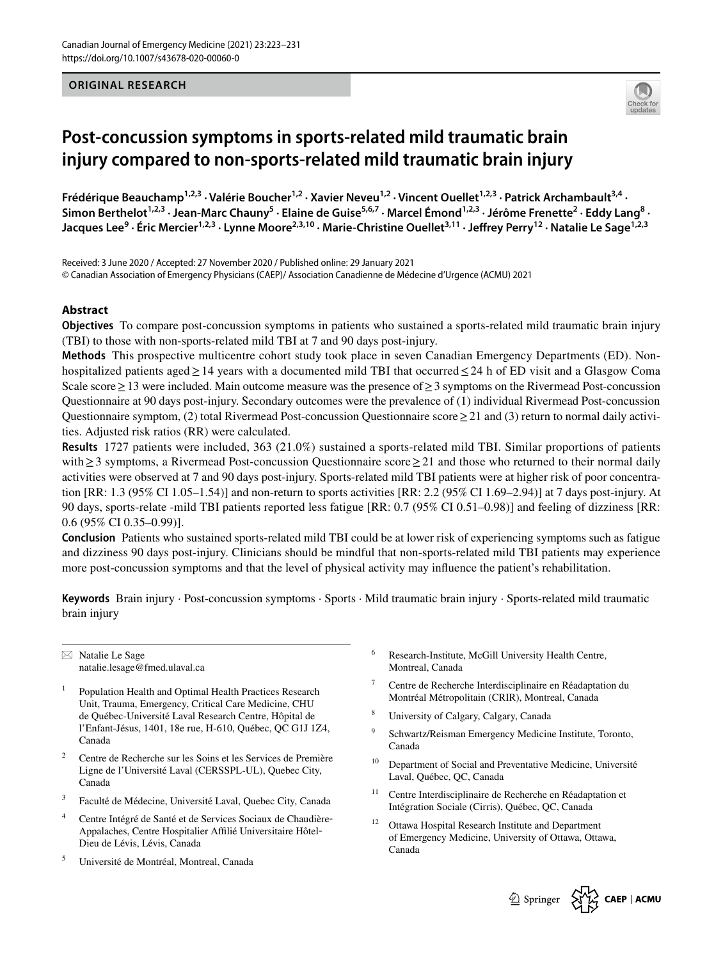

# **Post‑concussion symptoms in sports‑related mild traumatic brain injury compared to non‑sports‑related mild traumatic brain injury**

Frédérique Beauchamp<sup>1,2,3</sup> · Valérie Boucher<sup>1,2</sup> · Xavier Neveu<sup>1,2</sup> · Vincent Ouellet<sup>1,2,3</sup> · Patrick Archambault<sup>3,4</sup> · Simon Berthelot<sup>1,2,3</sup> · Jean-Marc Chauny<sup>5</sup> · Elaine de Guise<sup>5,6,7</sup> · Marcel Émond<sup>1,2,3</sup> · Jérôme Frenette<sup>2</sup> · Eddy Lang<sup>8</sup> · **Jacques Lee<sup>9</sup> · Éric Mercier1,2,3 · Lynne Moore2,3,10 · Marie‑Christine Ouellet3,11 · Jefrey Perry12 · Natalie Le Sage1,2,3**

Received: 3 June 2020 / Accepted: 27 November 2020 / Published online: 29 January 2021 © Canadian Association of Emergency Physicians (CAEP)/ Association Canadienne de Médecine d'Urgence (ACMU) 2021

# **Abstract**

**Objectives** To compare post-concussion symptoms in patients who sustained a sports-related mild traumatic brain injury (TBI) to those with non-sports-related mild TBI at 7 and 90 days post-injury.

**Methods** This prospective multicentre cohort study took place in seven Canadian Emergency Departments (ED). Nonhospitalized patients aged≥14 years with a documented mild TBI that occurred≤24 h of ED visit and a Glasgow Coma Scale score≥13 were included. Main outcome measure was the presence of≥3 symptoms on the Rivermead Post-concussion Questionnaire at 90 days post-injury. Secondary outcomes were the prevalence of (1) individual Rivermead Post-concussion Questionnaire symptom, (2) total Rivermead Post-concussion Questionnaire score≥21 and (3) return to normal daily activities. Adjusted risk ratios (RR) were calculated.

**ORIGINAL RESEARCH**<br> **COSI-CONCUSSION Symptoms in sports-related mild traumatic brain injury<br>
Cosing Research in the state of the state of the state of the state of the state of the state of the state of<br>** *Cosing Benderic* **Results** 1727 patients were included, 363 (21.0%) sustained a sports-related mild TBI. Similar proportions of patients with≥3 symptoms, a Rivermead Post-concussion Questionnaire score≥21 and those who returned to their normal daily activities were observed at 7 and 90 days post-injury. Sports-related mild TBI patients were at higher risk of poor concentration [RR: 1.3 (95% CI 1.05–1.54)] and non-return to sports activities [RR: 2.2 (95% CI 1.69–2.94)] at 7 days post-injury. At 90 days, sports-relate -mild TBI patients reported less fatigue [RR: 0.7 (95% CI 0.51–0.98)] and feeling of dizziness [RR: 0.6 (95% CI 0.35–0.99)].

**Conclusion** Patients who sustained sports-related mild TBI could be at lower risk of experiencing symptoms such as fatigue and dizziness 90 days post-injury. Clinicians should be mindful that non-sports-related mild TBI patients may experience more post-concussion symptoms and that the level of physical activity may infuence the patient's rehabilitation.

**Keywords** Brain injury · Post-concussion symptoms · Sports · Mild traumatic brain injury · Sports-related mild traumatic brain injury

 $\boxtimes$  Natalie Le Sage natalie.lesage@fmed.ulaval.ca

- <sup>1</sup> Population Health and Optimal Health Practices Research Unit, Trauma, Emergency, Critical Care Medicine, CHU de Québec-Université Laval Research Centre, Hôpital de l'Enfant-Jésus, 1401, 18e rue, H-610, Québec, QC G1J 1Z4, Canada
- <sup>2</sup> Centre de Recherche sur les Soins et les Services de Première Ligne de l'Université Laval (CERSSPL-UL), Quebec City, Canada
- <sup>3</sup> Faculté de Médecine, Université Laval, Quebec City, Canada
- <sup>4</sup> Centre Intégré de Santé et de Services Sociaux de Chaudière-Appalaches, Centre Hospitalier Aflié Universitaire Hôtel‐ Dieu de Lévis, Lévis, Canada
- <sup>5</sup> Université de Montréal, Montreal, Canada
- <sup>6</sup> Research-Institute, McGill University Health Centre, Montreal, Canada
- <sup>7</sup> Centre de Recherche Interdisciplinaire en Réadaptation du Montréal Métropolitain (CRIR), Montreal, Canada
- <sup>8</sup> University of Calgary, Calgary, Canada
- Schwartz/Reisman Emergency Medicine Institute, Toronto, Canada
- <sup>10</sup> Department of Social and Preventative Medicine, Université Laval, Québec, QC, Canada
- <sup>11</sup> Centre Interdisciplinaire de Recherche en Réadaptation et Intégration Sociale (Cirris), Québec, QC, Canada
- <sup>12</sup> Ottawa Hospital Research Institute and Department of Emergency Medicine, University of Ottawa, Ottawa, Canada

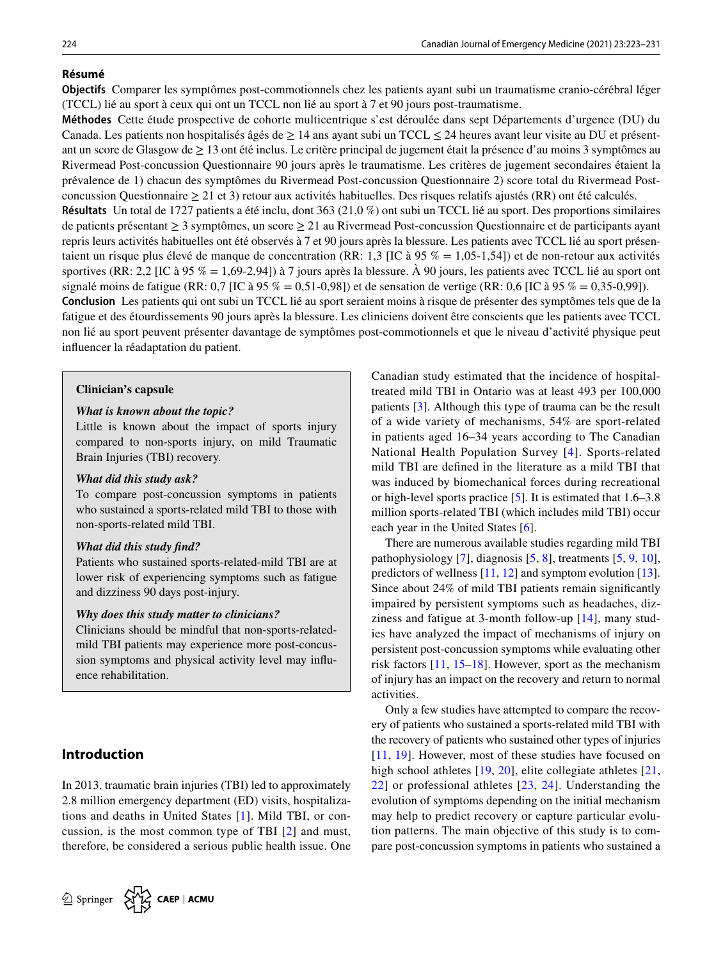# **Résumé**

**Objectifs** Comparer les symptômes post-commotionnels chez les patients ayant subi un traumatisme cranio-cérébral léger (TCCL) lié au sport à ceux qui ont un TCCL non lié au sport à 7 et 90 jours post-traumatisme.

**Méthodes** Cette étude prospective de cohorte multicentrique s'est déroulée dans sept Départements d'urgence (DU) du Canada. Les patients non hospitalisés âgés de  $\geq 14$  ans ayant subi un TCCL  $\leq 24$  heures avant leur visite au DU et présentant un score de Glasgow de  $\geq 13$  ont été inclus. Le critère principal de jugement était la présence d'au moins 3 symptômes au Rivermead Post-concussion Questionnaire 90 jours après le traumatisme. Les critères de jugement secondaires étaient la prévalence de 1) chacun des symptômes du Rivermead Post-concussion Questionnaire 2) score total du Rivermead Postconcussion Questionnaire  $\geq 21$  et 3) retour aux activités habituelles. Des risques relatifs ajustés (RR) ont été calculés. **Résultats** Un total de 1727 patients a été inclu, dont 363 (21,0 %) ont subi un TCCL lié au sport. Des proportions similaires

de patients présentant ≥ 3 symptômes, un score ≥ 21 au Rivermead Post-concussion Questionnaire et de participants ayant repris leurs activités habituelles ont été observés à 7 et 90 jours après la blessure. Les patients avec TCCL lié au sport présentaient un risque plus élevé de manque de concentration (RR: 1,3 [IC à 95 % = 1,05-1,54]) et de non-retour aux activités sportives (RR: 2,2 [IC à 95 % = 1,69-2,94]) à 7 jours après la blessure. À 90 jours, les patients avec TCCL lié au sport ont signalé moins de fatigue (RR: 0,7 [IC à 95 % = 0,51-0,98]) et de sensation de vertige (RR: 0,6 [IC à 95 % = 0,35-0,99]).

**Conclusion** Les patients qui ont subi un TCCL lié au sport seraient moins à risque de présenter des symptômes tels que de la fatigue et des étourdissements 90 jours après la blessure. Les cliniciens doivent être conscients que les patients avec TCCL non lié au sport peuvent présenter davantage de symptômes post-commotionnels et que le niveau d'activité physique peut infuencer la réadaptation du patient.

#### **Clinician's capsule**

#### *What is known about the topic?*

Little is known about the impact of sports injury compared to non-sports injury, on mild Traumatic Brain Injuries (TBI) recovery.

#### *What did this study ask?*

To compare post-concussion symptoms in patients who sustained a sports-related mild TBI to those with non-sports-related mild TBI.

#### *What did this study fnd?*

Patients who sustained sports-related-mild TBI are at lower risk of experiencing symptoms such as fatigue and dizziness 90 days post-injury.

#### *Why does this study matter to clinicians?*

Clinicians should be mindful that non-sports-relatedmild TBI patients may experience more post-concussion symptoms and physical activity level may infuence rehabilitation.

# **Introduction**

In 2013, traumatic brain injuries (TBI) led to approximately 2.8 million emergency department (ED) visits, hospitalizations and deaths in United States [[1](#page-7-0)]. Mild TBI, or concussion, is the most common type of TBI [[2](#page-7-1)] and must, therefore, be considered a serious public health issue. One Canadian study estimated that the incidence of hospitaltreated mild TBI in Ontario was at least 493 per 100,000 patients [[3\]](#page-7-2). Although this type of trauma can be the result of a wide variety of mechanisms, 54% are sport-related in patients aged 16–34 years according to The Canadian National Health Population Survey [[4](#page-7-3)]. Sports-related mild TBI are defned in the literature as a mild TBI that was induced by biomechanical forces during recreational or high-level sports practice [\[5](#page-8-0)]. It is estimated that 1.6–3.8 million sports-related TBI (which includes mild TBI) occur each year in the United States [\[6](#page-8-1)].

There are numerous available studies regarding mild TBI pathophysiology [\[7](#page-8-2)], diagnosis [[5,](#page-8-0) [8\]](#page-8-3), treatments [\[5](#page-8-0), [9](#page-8-4), [10](#page-8-5)], predictors of wellness [[11,](#page-8-6) [12\]](#page-8-7) and symptom evolution [\[13](#page-8-8)]. Since about 24% of mild TBI patients remain signifcantly impaired by persistent symptoms such as headaches, dizziness and fatigue at 3-month follow-up [[14](#page-8-9)], many studies have analyzed the impact of mechanisms of injury on persistent post-concussion symptoms while evaluating other risk factors [[11,](#page-8-6) [15](#page-8-10)[–18\]](#page-8-11). However, sport as the mechanism of injury has an impact on the recovery and return to normal activities.

Only a few studies have attempted to compare the recovery of patients who sustained a sports-related mild TBI with the recovery of patients who sustained other types of injuries [[11,](#page-8-6) [19\]](#page-8-12). However, most of these studies have focused on high school athletes [[19](#page-8-12), [20\]](#page-8-13), elite collegiate athletes [\[21,](#page-8-14) [22\]](#page-8-15) or professional athletes [[23](#page-8-16), [24\]](#page-8-17). Understanding the evolution of symptoms depending on the initial mechanism may help to predict recovery or capture particular evolution patterns. The main objective of this study is to compare post-concussion symptoms in patients who sustained a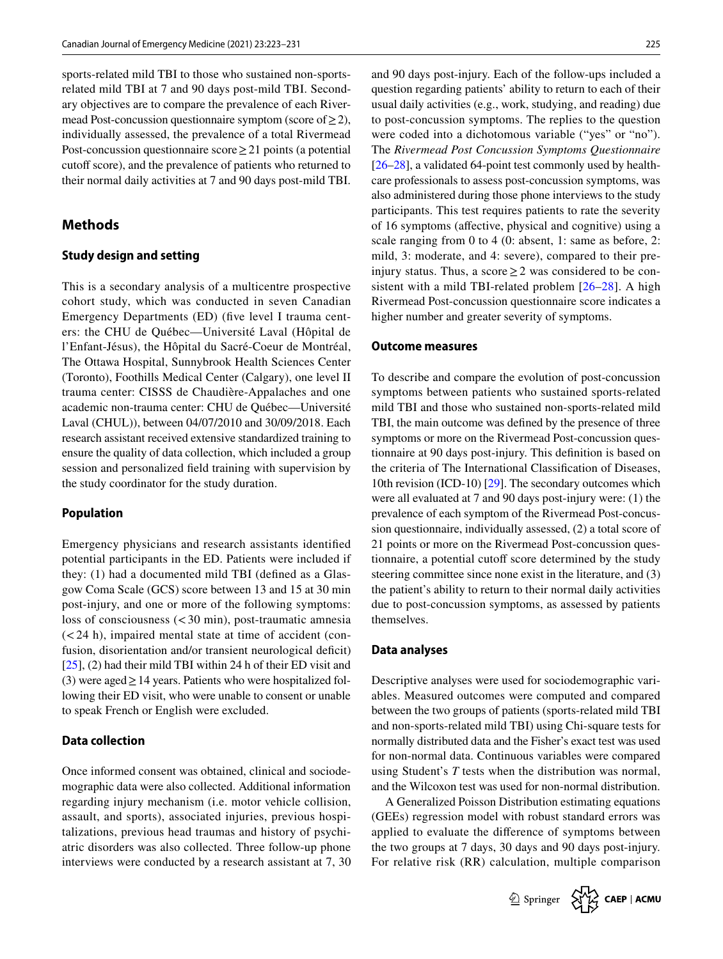sports-related mild TBI to those who sustained non-sportsrelated mild TBI at 7 and 90 days post-mild TBI. Secondary objectives are to compare the prevalence of each Rivermead Post-concussion questionnaire symptom (score of  $\geq$  2), individually assessed, the prevalence of a total Rivermead Post-concussion questionnaire score≥21 points (a potential cutoff score), and the prevalence of patients who returned to their normal daily activities at 7 and 90 days post-mild TBI.

# **Methods**

#### **Study design and setting**

This is a secondary analysis of a multicentre prospective cohort study, which was conducted in seven Canadian Emergency Departments (ED) (fve level I trauma centers: the CHU de Québec—Université Laval (Hôpital de l'Enfant-Jésus), the Hôpital du Sacré-Coeur de Montréal, The Ottawa Hospital, Sunnybrook Health Sciences Center (Toronto), Foothills Medical Center (Calgary), one level II trauma center: CISSS de Chaudière-Appalaches and one academic non-trauma center: CHU de Québec—Université Laval (CHUL)), between 04/07/2010 and 30/09/2018. Each research assistant received extensive standardized training to ensure the quality of data collection, which included a group session and personalized feld training with supervision by the study coordinator for the study duration.

#### **Population**

Emergency physicians and research assistants identifed potential participants in the ED. Patients were included if they: (1) had a documented mild TBI (defned as a Glasgow Coma Scale (GCS) score between 13 and 15 at 30 min post-injury, and one or more of the following symptoms: loss of consciousness (<30 min), post-traumatic amnesia  $(< 24$  h), impaired mental state at time of accident (confusion, disorientation and/or transient neurological deficit) [\[25](#page-8-18)], (2) had their mild TBI within 24 h of their ED visit and (3) were aged  $\geq$  14 years. Patients who were hospitalized following their ED visit, who were unable to consent or unable to speak French or English were excluded.

## **Data collection**

Once informed consent was obtained, clinical and sociodemographic data were also collected. Additional information regarding injury mechanism (i.e. motor vehicle collision, assault, and sports), associated injuries, previous hospitalizations, previous head traumas and history of psychiatric disorders was also collected. Three follow-up phone interviews were conducted by a research assistant at 7, 30 and 90 days post-injury. Each of the follow-ups included a question regarding patients' ability to return to each of their usual daily activities (e.g., work, studying, and reading) due to post-concussion symptoms. The replies to the question were coded into a dichotomous variable ("yes" or "no"). The *Rivermead Post Concussion Symptoms Questionnaire* [\[26](#page-8-19)[–28](#page-8-20)], a validated 64-point test commonly used by healthcare professionals to assess post-concussion symptoms, was also administered during those phone interviews to the study participants. This test requires patients to rate the severity of 16 symptoms (afective, physical and cognitive) using a scale ranging from 0 to 4 (0: absent, 1: same as before, 2: mild, 3: moderate, and 4: severe), compared to their preinjury status. Thus, a score  $\geq 2$  was considered to be consistent with a mild TBI-related problem [\[26–](#page-8-19)[28](#page-8-20)]. A high Rivermead Post-concussion questionnaire score indicates a higher number and greater severity of symptoms.

#### **Outcome measures**

To describe and compare the evolution of post-concussion symptoms between patients who sustained sports-related mild TBI and those who sustained non-sports-related mild TBI, the main outcome was defned by the presence of three symptoms or more on the Rivermead Post-concussion questionnaire at 90 days post-injury. This defnition is based on the criteria of The International Classifcation of Diseases, 10th revision (ICD-10) [\[29](#page-8-21)]. The secondary outcomes which were all evaluated at 7 and 90 days post-injury were: (1) the prevalence of each symptom of the Rivermead Post-concussion questionnaire, individually assessed, (2) a total score of 21 points or more on the Rivermead Post-concussion questionnaire, a potential cutoff score determined by the study steering committee since none exist in the literature, and (3) the patient's ability to return to their normal daily activities due to post-concussion symptoms, as assessed by patients themselves.

#### **Data analyses**

Descriptive analyses were used for sociodemographic variables. Measured outcomes were computed and compared between the two groups of patients (sports-related mild TBI and non-sports-related mild TBI) using Chi-square tests for normally distributed data and the Fisher's exact test was used for non-normal data. Continuous variables were compared using Student's *T* tests when the distribution was normal, and the Wilcoxon test was used for non-normal distribution.

A Generalized Poisson Distribution estimating equations (GEEs) regression model with robust standard errors was applied to evaluate the diference of symptoms between the two groups at 7 days, 30 days and 90 days post-injury. For relative risk (RR) calculation, multiple comparison

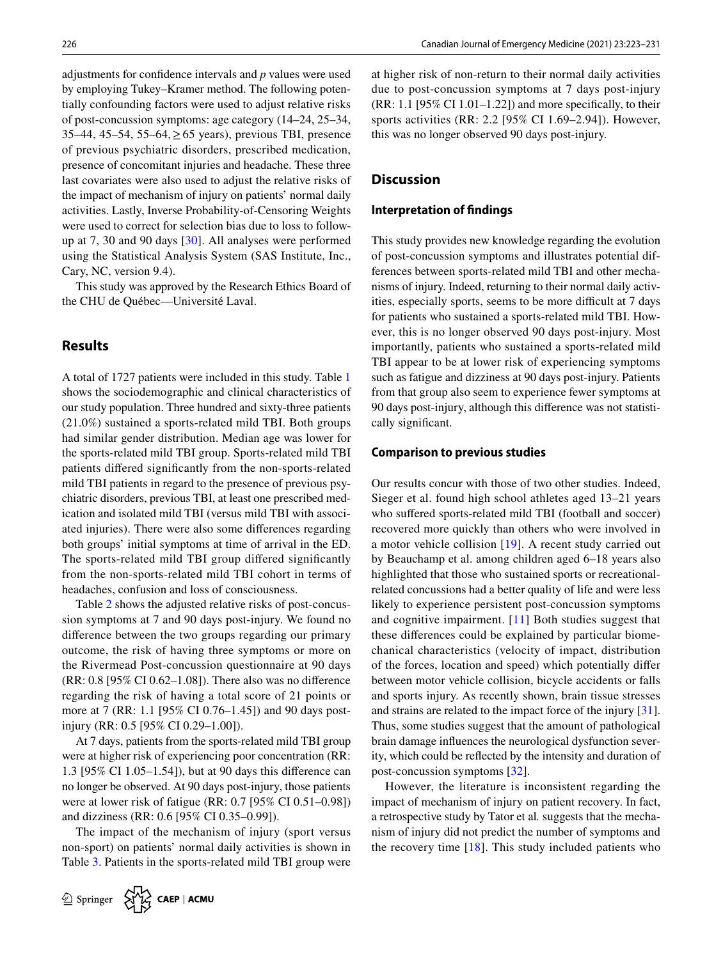adjustments for confdence intervals and *p* values were used by employing Tukey–Kramer method. The following potentially confounding factors were used to adjust relative risks of post-concussion symptoms: age category (14–24, 25–34, 35–44, 45–54, 55–64,≥65 years), previous TBI, presence of previous psychiatric disorders, prescribed medication, presence of concomitant injuries and headache. These three last covariates were also used to adjust the relative risks of the impact of mechanism of injury on patients' normal daily activities. Lastly, Inverse Probability-of-Censoring Weights were used to correct for selection bias due to loss to followup at 7, 30 and 90 days [[30\]](#page-8-22). All analyses were performed using the Statistical Analysis System (SAS Institute, Inc., Cary, NC, version 9.4).

This study was approved by the Research Ethics Board of the CHU de Québec—Université Laval.

# **Results**

A total of 1727 patients were included in this study. Table [1](#page-4-0) shows the sociodemographic and clinical characteristics of our study population. Three hundred and sixty-three patients (21.0%) sustained a sports-related mild TBI. Both groups had similar gender distribution. Median age was lower for the sports-related mild TBI group. Sports-related mild TBI patients difered signifcantly from the non-sports-related mild TBI patients in regard to the presence of previous psychiatric disorders, previous TBI, at least one prescribed medication and isolated mild TBI (versus mild TBI with associated injuries). There were also some diferences regarding both groups' initial symptoms at time of arrival in the ED. The sports-related mild TBI group difered signifcantly from the non-sports-related mild TBI cohort in terms of headaches, confusion and loss of consciousness.

Table [2](#page-5-0) shows the adjusted relative risks of post-concussion symptoms at 7 and 90 days post-injury. We found no diference between the two groups regarding our primary outcome, the risk of having three symptoms or more on the Rivermead Post-concussion questionnaire at 90 days (RR: 0.8 [95% CI 0.62–1.08]). There also was no diference regarding the risk of having a total score of 21 points or more at 7 (RR: 1.1 [95% CI 0.76–1.45]) and 90 days postinjury (RR: 0.5 [95% CI 0.29–1.00]).

At 7 days, patients from the sports-related mild TBI group were at higher risk of experiencing poor concentration (RR: 1.3 [95% CI 1.05–1.54]), but at 90 days this diference can no longer be observed. At 90 days post-injury, those patients were at lower risk of fatigue (RR: 0.7 [95% CI 0.51–0.98]) and dizziness (RR: 0.6 [95% CI 0.35–0.99]).

The impact of the mechanism of injury (sport versus non-sport) on patients' normal daily activities is shown in Table [3](#page-7-4). Patients in the sports-related mild TBI group were at higher risk of non-return to their normal daily activities due to post-concussion symptoms at 7 days post-injury  $(RR: 1.1$  [95% CI 1.01–1.22]) and more specifically, to their sports activities (RR: 2.2 [95% CI 1.69–2.94]). However, this was no longer observed 90 days post-injury.

# **Discussion**

#### **Interpretation of fndings**

This study provides new knowledge regarding the evolution of post-concussion symptoms and illustrates potential differences between sports-related mild TBI and other mechanisms of injury. Indeed, returning to their normal daily activities, especially sports, seems to be more difficult at 7 days for patients who sustained a sports-related mild TBI. However, this is no longer observed 90 days post-injury. Most importantly, patients who sustained a sports-related mild TBI appear to be at lower risk of experiencing symptoms such as fatigue and dizziness at 90 days post-injury. Patients from that group also seem to experience fewer symptoms at 90 days post-injury, although this diference was not statistically signifcant.

#### **Comparison to previous studies**

Our results concur with those of two other studies. Indeed, Sieger et al. found high school athletes aged 13–21 years who suffered sports-related mild TBI (football and soccer) recovered more quickly than others who were involved in a motor vehicle collision [[19](#page-8-12)]. A recent study carried out by Beauchamp et al. among children aged 6–18 years also highlighted that those who sustained sports or recreationalrelated concussions had a better quality of life and were less likely to experience persistent post-concussion symptoms and cognitive impairment. [[11](#page-8-6)] Both studies suggest that these diferences could be explained by particular biomechanical characteristics (velocity of impact, distribution of the forces, location and speed) which potentially difer between motor vehicle collision, bicycle accidents or falls and sports injury. As recently shown, brain tissue stresses and strains are related to the impact force of the injury [\[31](#page-8-23)]. Thus, some studies suggest that the amount of pathological brain damage infuences the neurological dysfunction severity, which could be refected by the intensity and duration of post-concussion symptoms [[32](#page-8-24)].

However, the literature is inconsistent regarding the impact of mechanism of injury on patient recovery. In fact, a retrospective study by Tator et al*.* suggests that the mechanism of injury did not predict the number of symptoms and the recovery time  $[18]$  $[18]$  $[18]$ . This study included patients who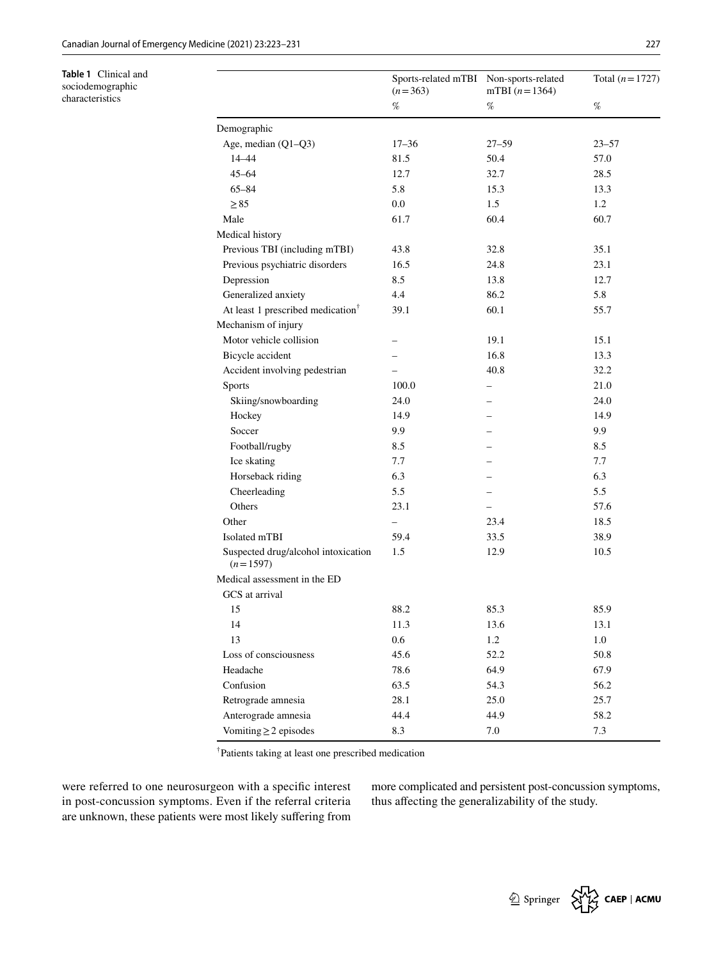<span id="page-4-0"></span>**Table 1** Clinical and sociodemographic characteristics

|                                                   | Sports-related mTBI Non-sports-related<br>$(n=363)$<br>$% \mathcal{P}_{\mathrm{C}}^{\mathrm{C}}(\mathcal{P}_{\mathrm{C}}^{\mathrm{C}}(\mathcal{P}_{\mathrm{C}}^{\mathrm{C}})^{-1})=0$ | mTBI $(n=1364)$<br>$\%$  | Total $(n = 1727)$<br>$\%$ |
|---------------------------------------------------|---------------------------------------------------------------------------------------------------------------------------------------------------------------------------------------|--------------------------|----------------------------|
|                                                   |                                                                                                                                                                                       |                          |                            |
| Demographic                                       |                                                                                                                                                                                       |                          |                            |
| Age, median (Q1-Q3)                               | $17 - 36$                                                                                                                                                                             | $27 - 59$                | $23 - 57$                  |
| 14-44                                             | 81.5                                                                                                                                                                                  | 50.4                     | 57.0                       |
| $45 - 64$                                         | 12.7                                                                                                                                                                                  | 32.7                     | 28.5                       |
| $65 - 84$                                         | 5.8                                                                                                                                                                                   | 15.3                     | 13.3                       |
| $\geq 85$                                         | 0.0                                                                                                                                                                                   | 1.5                      | 1.2                        |
| Male                                              | 61.7                                                                                                                                                                                  | 60.4                     | 60.7                       |
| Medical history                                   |                                                                                                                                                                                       |                          |                            |
| Previous TBI (including mTBI)                     | 43.8                                                                                                                                                                                  | 32.8                     | 35.1                       |
| Previous psychiatric disorders                    | 16.5                                                                                                                                                                                  | 24.8                     | 23.1                       |
| Depression                                        | 8.5                                                                                                                                                                                   | 13.8                     | 12.7                       |
| Generalized anxiety                               | 4.4                                                                                                                                                                                   | 86.2                     | 5.8                        |
| At least 1 prescribed medication <sup>†</sup>     | 39.1                                                                                                                                                                                  | 60.1                     | 55.7                       |
| Mechanism of injury                               |                                                                                                                                                                                       |                          |                            |
| Motor vehicle collision                           |                                                                                                                                                                                       | 19.1                     | 15.1                       |
| Bicycle accident                                  |                                                                                                                                                                                       | 16.8                     | 13.3                       |
| Accident involving pedestrian                     |                                                                                                                                                                                       | 40.8                     | 32.2                       |
| <b>Sports</b>                                     | 100.0                                                                                                                                                                                 |                          | 21.0                       |
| Skiing/snowboarding                               | 24.0                                                                                                                                                                                  |                          | 24.0                       |
| Hockey                                            | 14.9                                                                                                                                                                                  |                          | 14.9                       |
| Soccer                                            | 9.9                                                                                                                                                                                   |                          | 9.9                        |
| Football/rugby                                    | 8.5                                                                                                                                                                                   |                          | 8.5                        |
| Ice skating                                       | 7.7                                                                                                                                                                                   |                          | 7.7                        |
| Horseback riding                                  | 6.3                                                                                                                                                                                   |                          | 6.3                        |
| Cheerleading                                      | 5.5                                                                                                                                                                                   |                          | 5.5                        |
| Others                                            | 23.1                                                                                                                                                                                  | $\overline{\phantom{0}}$ | 57.6                       |
| Other                                             | $\overline{\phantom{0}}$                                                                                                                                                              | 23.4                     | 18.5                       |
| Isolated mTBI                                     | 59.4                                                                                                                                                                                  | 33.5                     | 38.9                       |
| Suspected drug/alcohol intoxication<br>$(n=1597)$ | 1.5                                                                                                                                                                                   | 12.9                     | 10.5                       |
| Medical assessment in the ED                      |                                                                                                                                                                                       |                          |                            |
| GCS at arrival                                    |                                                                                                                                                                                       |                          |                            |
| 15                                                | 88.2                                                                                                                                                                                  | 85.3                     | 85.9                       |
| 14                                                | 11.3                                                                                                                                                                                  | 13.6                     | 13.1                       |
| 13                                                | 0.6                                                                                                                                                                                   | 1.2                      | $1.0\,$                    |
| Loss of consciousness                             | 45.6                                                                                                                                                                                  | 52.2                     | 50.8                       |
| Headache                                          | 78.6                                                                                                                                                                                  | 64.9                     | 67.9                       |
| Confusion                                         | 63.5                                                                                                                                                                                  | 54.3                     | 56.2                       |
| Retrograde amnesia                                | 28.1                                                                                                                                                                                  | 25.0                     | 25.7                       |
| Anterograde amnesia                               | 44.4                                                                                                                                                                                  | 44.9                     | 58.2                       |
| Vomiting $\geq$ 2 episodes                        | $8.3\,$                                                                                                                                                                               | 7.0                      | 7.3                        |

† Patients taking at least one prescribed medication

were referred to one neurosurgeon with a specifc interest in post-concussion symptoms. Even if the referral criteria are unknown, these patients were most likely sufering from more complicated and persistent post-concussion symptoms, thus afecting the generalizability of the study.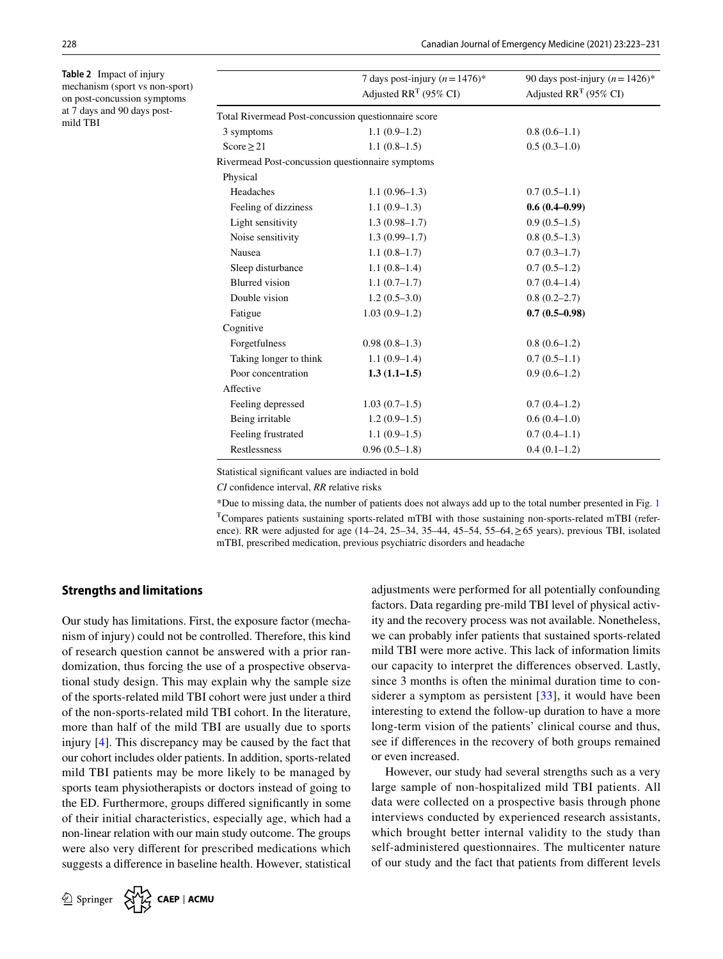<span id="page-5-0"></span>**Table 2** Impact of injury mechanism (sport vs non-sport) on post-concussion symptoms at 7 days and 90 days postmild TBI

|                                                     | 7 days post-injury $(n=1476)^*$<br>Adjusted $RR^T$ (95% CI) | 90 days post-injury $(n=1426)^*$<br>Adjusted $RR^T$ (95% CI) |  |  |
|-----------------------------------------------------|-------------------------------------------------------------|--------------------------------------------------------------|--|--|
| Total Rivermead Post-concussion questionnaire score |                                                             |                                                              |  |  |
| 3 symptoms                                          | $1.1(0.9-1.2)$                                              | $0.8(0.6-1.1)$                                               |  |  |
| Score $\geq$ 21                                     | $1.1(0.8-1.5)$                                              | $0.5(0.3-1.0)$                                               |  |  |
| Rivermead Post-concussion questionnaire symptoms    |                                                             |                                                              |  |  |
| Physical                                            |                                                             |                                                              |  |  |
| Headaches                                           | $1.1(0.96-1.3)$                                             | $0.7(0.5-1.1)$                                               |  |  |
| Feeling of dizziness                                | $1.1(0.9-1.3)$                                              | $0.6(0.4 - 0.99)$                                            |  |  |
| Light sensitivity                                   | $1.3(0.98-1.7)$                                             | $0.9(0.5-1.5)$                                               |  |  |
| Noise sensitivity                                   | $1.3(0.99-1.7)$                                             | $0.8(0.5-1.3)$                                               |  |  |
| Nausea                                              | $1.1(0.8-1.7)$                                              | $0.7(0.3-1.7)$                                               |  |  |
| Sleep disturbance                                   | $1.1(0.8-1.4)$                                              | $0.7(0.5-1.2)$                                               |  |  |
| <b>Blurred</b> vision                               | $1.1(0.7-1.7)$                                              | $0.7(0.4-1.4)$                                               |  |  |
| Double vision                                       | $1.2(0.5-3.0)$                                              | $0.8(0.2 - 2.7)$                                             |  |  |
| Fatigue                                             | $1.03(0.9-1.2)$                                             | $0.7(0.5-0.98)$                                              |  |  |
| Cognitive                                           |                                                             |                                                              |  |  |
| Forgetfulness                                       | $0.98(0.8-1.3)$                                             | $0.8(0.6-1.2)$                                               |  |  |
| Taking longer to think                              | $1.1(0.9-1.4)$                                              | $0.7(0.5-1.1)$                                               |  |  |
| Poor concentration                                  | $1.3(1.1-1.5)$                                              | $0.9(0.6-1.2)$                                               |  |  |
| Affective                                           |                                                             |                                                              |  |  |
| Feeling depressed                                   | $1.03(0.7-1.5)$                                             | $0.7(0.4-1.2)$                                               |  |  |
| Being irritable                                     | $1.2(0.9-1.5)$                                              | $0.6(0.4-1.0)$                                               |  |  |
| Feeling frustrated                                  | $1.1(0.9-1.5)$                                              | $0.7(0.4-1.1)$                                               |  |  |
| Restlessness                                        | $0.96(0.5-1.8)$                                             | $0.4(0.1-1.2)$                                               |  |  |

Statistical signifcant values are indiacted in bold

*CI* confdence interval, *RR* relative risks

\*Due to missing data, the number of patients does not always add up to the total number presented in Fig. [1](#page-6-0) ŦCompares patients sustaining sports-related mTBI with those sustaining non-sports-related mTBI (reference). RR were adjusted for age  $(14–24, 25–34, 35–44, 45–54, 55–64, \ge 65$  years), previous TBI, isolated mTBI, prescribed medication, previous psychiatric disorders and headache

### **Strengths and limitations**

Our study has limitations. First, the exposure factor (mechanism of injury) could not be controlled. Therefore, this kind of research question cannot be answered with a prior randomization, thus forcing the use of a prospective observational study design. This may explain why the sample size of the sports-related mild TBI cohort were just under a third of the non-sports-related mild TBI cohort. In the literature, more than half of the mild TBI are usually due to sports injury [\[4](#page-7-3)]. This discrepancy may be caused by the fact that our cohort includes older patients. In addition, sports-related mild TBI patients may be more likely to be managed by sports team physiotherapists or doctors instead of going to the ED. Furthermore, groups difered signifcantly in some of their initial characteristics, especially age, which had a non-linear relation with our main study outcome. The groups were also very diferent for prescribed medications which suggests a diference in baseline health. However, statistical adjustments were performed for all potentially confounding factors. Data regarding pre-mild TBI level of physical activity and the recovery process was not available. Nonetheless, we can probably infer patients that sustained sports-related mild TBI were more active. This lack of information limits our capacity to interpret the diferences observed. Lastly, since 3 months is often the minimal duration time to considerer a symptom as persistent  $[33]$ , it would have been interesting to extend the follow-up duration to have a more long-term vision of the patients' clinical course and thus, see if diferences in the recovery of both groups remained or even increased.

However, our study had several strengths such as a very large sample of non-hospitalized mild TBI patients. All data were collected on a prospective basis through phone interviews conducted by experienced research assistants, which brought better internal validity to the study than self-administered questionnaires. The multicenter nature of our study and the fact that patients from diferent levels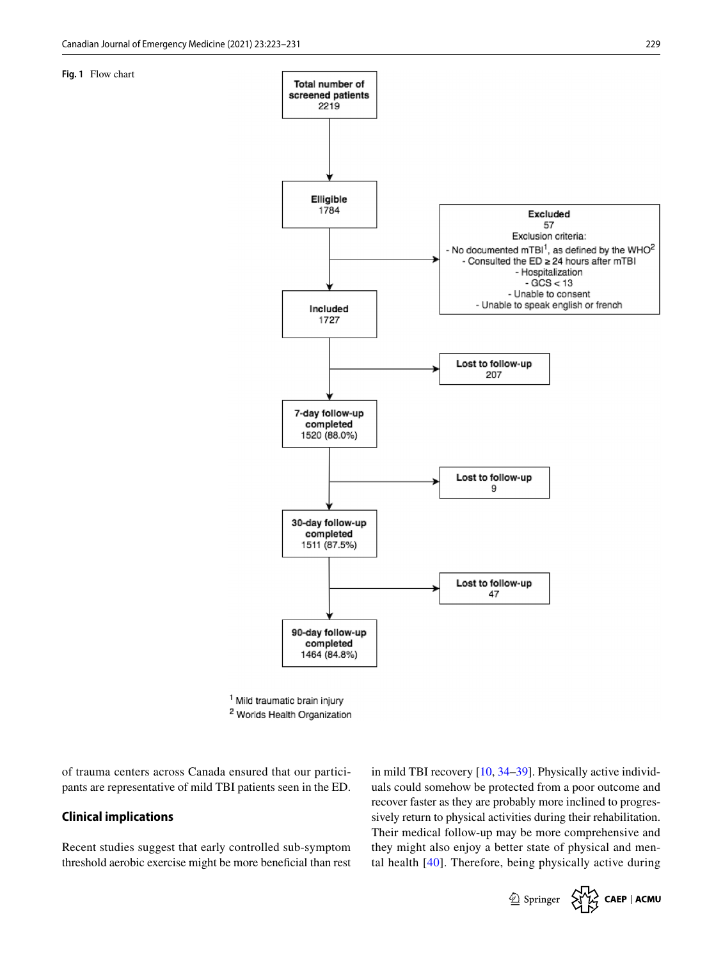<span id="page-6-0"></span>**Fig. 1** Flow chart



<sup>1</sup> Mild traumatic brain injury <sup>2</sup> Worlds Health Organization

of trauma centers across Canada ensured that our participants are representative of mild TBI patients seen in the ED.

# **Clinical implications**

Recent studies suggest that early controlled sub-symptom threshold aerobic exercise might be more benefcial than rest in mild TBI recovery [\[10](#page-8-5), [34](#page-8-26)[–39](#page-8-27)]. Physically active individuals could somehow be protected from a poor outcome and recover faster as they are probably more inclined to progressively return to physical activities during their rehabilitation. Their medical follow-up may be more comprehensive and they might also enjoy a better state of physical and mental health [[40](#page-8-28)]. Therefore, being physically active during

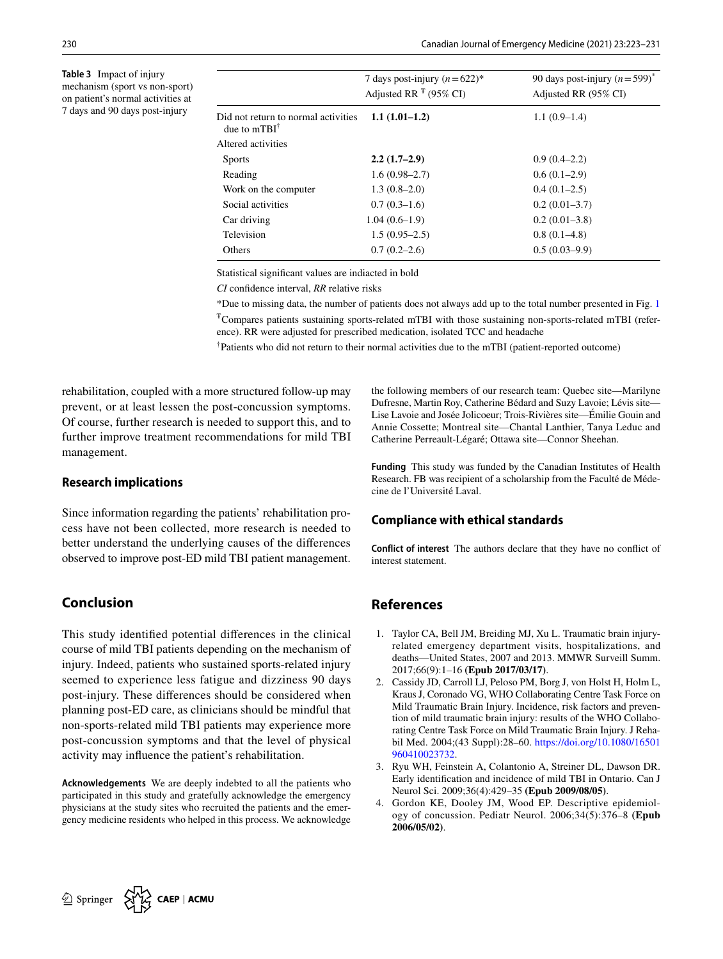<span id="page-7-4"></span>**Table 3** Impact of injury mechanism (sport vs non-sport) on patient's normal activities at 7 days and 90 days post-injury

|                                                                | 7 days post-injury $(n=622)^*$<br>Adjusted RR $F(95\% \text{ CI})$ | 90 days post-injury $(n=599)^*$<br>Adjusted RR (95% CI) |
|----------------------------------------------------------------|--------------------------------------------------------------------|---------------------------------------------------------|
| Did not return to normal activities<br>due to $mTBI^{\dagger}$ | $1.1(1.01-1.2)$                                                    | $1.1(0.9-1.4)$                                          |
| Altered activities                                             |                                                                    |                                                         |
| <b>Sports</b>                                                  | $2.2(1.7-2.9)$                                                     | $0.9(0.4-2.2)$                                          |
| Reading                                                        | $1.6(0.98 - 2.7)$                                                  | $0.6(0.1-2.9)$                                          |
| Work on the computer                                           | $1.3(0.8-2.0)$                                                     | $0.4(0.1-2.5)$                                          |
| Social activities                                              | $0.7(0.3-1.6)$                                                     | $0.2(0.01-3.7)$                                         |
| Car driving                                                    | $1.04(0.6-1.9)$                                                    | $0.2(0.01-3.8)$                                         |
| Television                                                     | $1.5(0.95-2.5)$                                                    | $0.8(0.1-4.8)$                                          |
| Others                                                         | $0.7(0.2-2.6)$                                                     | $0.5(0.03-9.9)$                                         |

Statistical signifcant values are indiacted in bold

*CI* confdence interval, *RR* relative risks

\*Due to missing data, the number of patients does not always add up to the total number presented in Fig. [1](#page-6-0)  $T$ Compares patients sustaining sports-related mTBI with those sustaining non-sports-related mTBI (reference). RR were adjusted for prescribed medication, isolated TCC and headache

† Patients who did not return to their normal activities due to the mTBI (patient-reported outcome)

rehabilitation, coupled with a more structured follow-up may prevent, or at least lessen the post-concussion symptoms. Of course, further research is needed to support this, and to further improve treatment recommendations for mild TBI management.

# **Research implications**

Since information regarding the patients' rehabilitation process have not been collected, more research is needed to better understand the underlying causes of the diferences observed to improve post-ED mild TBI patient management.

# **Conclusion**

This study identifed potential diferences in the clinical course of mild TBI patients depending on the mechanism of injury. Indeed, patients who sustained sports-related injury seemed to experience less fatigue and dizziness 90 days post-injury. These diferences should be considered when planning post-ED care, as clinicians should be mindful that non-sports-related mild TBI patients may experience more post-concussion symptoms and that the level of physical activity may infuence the patient's rehabilitation.

**Acknowledgements** We are deeply indebted to all the patients who participated in this study and gratefully acknowledge the emergency physicians at the study sites who recruited the patients and the emergency medicine residents who helped in this process. We acknowledge the following members of our research team: Quebec site—Marilyne Dufresne, Martin Roy, Catherine Bédard and Suzy Lavoie; Lévis site— Lise Lavoie and Josée Jolicoeur; Trois-Rivières site—Émilie Gouin and Annie Cossette; Montreal site—Chantal Lanthier, Tanya Leduc and Catherine Perreault-Légaré; Ottawa site—Connor Sheehan.

**Funding** This study was funded by the Canadian Institutes of Health Research. FB was recipient of a scholarship from the Faculté de Médecine de l'Université Laval.

# **Compliance with ethical standards**

**Conflict of interest** The authors declare that they have no confict of interest statement.

# **References**

- <span id="page-7-0"></span>1. Taylor CA, Bell JM, Breiding MJ, Xu L. Traumatic brain injuryrelated emergency department visits, hospitalizations, and deaths—United States, 2007 and 2013. MMWR Surveill Summ. 2017;66(9):1–16 **(Epub 2017/03/17)**.
- <span id="page-7-1"></span>2. Cassidy JD, Carroll LJ, Peloso PM, Borg J, von Holst H, Holm L, Kraus J, Coronado VG, WHO Collaborating Centre Task Force on Mild Traumatic Brain Injury. Incidence, risk factors and prevention of mild traumatic brain injury: results of the WHO Collaborating Centre Task Force on Mild Traumatic Brain Injury. J Rehabil Med. 2004;(43 Suppl):28–60. [https://doi.org/10.1080/16501](https://doi.org/10.1080/16501960410023732) [960410023732.](https://doi.org/10.1080/16501960410023732)
- <span id="page-7-2"></span>3. Ryu WH, Feinstein A, Colantonio A, Streiner DL, Dawson DR. Early identifcation and incidence of mild TBI in Ontario. Can J Neurol Sci. 2009;36(4):429–35 **(Epub 2009/08/05)**.
- <span id="page-7-3"></span>4. Gordon KE, Dooley JM, Wood EP. Descriptive epidemiology of concussion. Pediatr Neurol. 2006;34(5):376–8 **(Epub 2006/05/02)**.